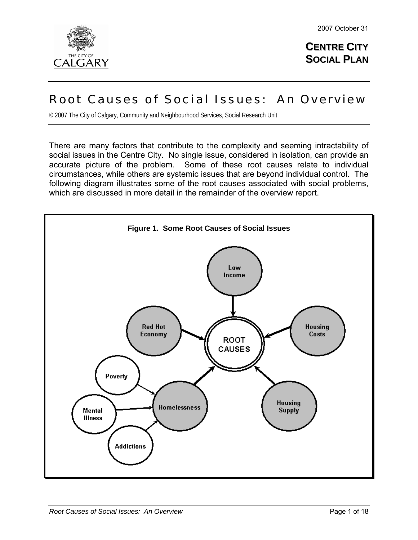

**CENTRE CITY SOCIAL PLAN**

# Root Causes of Social Issues: An Overview

© 2007 The City of Calgary, Community and Neighbourhood Services, Social Research Unit

There are many factors that contribute to the complexity and seeming intractability of social issues in the Centre City. No single issue, considered in isolation, can provide an accurate picture of the problem. Some of these root causes relate to individual circumstances, while others are systemic issues that are beyond individual control. The following diagram illustrates some of the root causes associated with social problems, which are discussed in more detail in the remainder of the overview report.

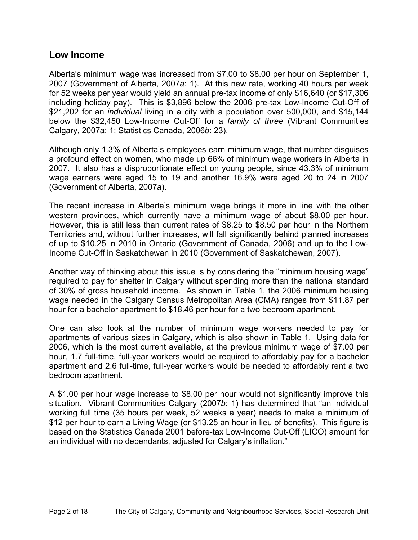#### **Low Income**

Alberta's minimum wage was increased from \$7.00 to \$8.00 per hour on September 1, 2007 (Government of Alberta, 2007*a*: 1). At this new rate, working 40 hours per week for 52 weeks per year would yield an annual pre-tax income of only \$16,640 (or \$17,306 including holiday pay). This is \$3,896 below the 2006 pre-tax Low-Income Cut-Off of \$21,202 for an *individual* living in a city with a population over 500,000, and \$15,144 below the \$32,450 Low-Income Cut-Off for a *family of three* (Vibrant Communities Calgary, 2007*a*: 1; Statistics Canada, 2006*b*: 23).

Although only 1.3% of Alberta's employees earn minimum wage, that number disguises a profound effect on women, who made up 66% of minimum wage workers in Alberta in 2007. It also has a disproportionate effect on young people, since 43.3% of minimum wage earners were aged 15 to 19 and another 16.9% were aged 20 to 24 in 2007 (Government of Alberta, 2007*a*).

The recent increase in Alberta's minimum wage brings it more in line with the other western provinces, which currently have a minimum wage of about \$8.00 per hour. However, this is still less than current rates of \$8.25 to \$8.50 per hour in the Northern Territories and, without further increases, will fall significantly behind planned increases of up to \$10.25 in 2010 in Ontario (Government of Canada, 2006) and up to the Low-Income Cut-Off in Saskatchewan in 2010 (Government of Saskatchewan, 2007).

Another way of thinking about this issue is by considering the "minimum housing wage" required to pay for shelter in Calgary without spending more than the national standard of 30% of gross household income. As shown in Table 1, the 2006 minimum housing wage needed in the Calgary Census Metropolitan Area (CMA) ranges from \$11.87 per hour for a bachelor apartment to \$18.46 per hour for a two bedroom apartment.

One can also look at the number of minimum wage workers needed to pay for apartments of various sizes in Calgary, which is also shown in Table 1. Using data for 2006, which is the most current available, at the previous minimum wage of \$7.00 per hour, 1.7 full-time, full-year workers would be required to affordably pay for a bachelor apartment and 2.6 full-time, full-year workers would be needed to affordably rent a two bedroom apartment.

A \$1.00 per hour wage increase to \$8.00 per hour would not significantly improve this situation. Vibrant Communities Calgary (2007*b*: 1) has determined that "an individual working full time (35 hours per week, 52 weeks a year) needs to make a minimum of \$12 per hour to earn a Living Wage (or \$13.25 an hour in lieu of benefits). This figure is based on the Statistics Canada 2001 before-tax Low-Income Cut-Off (LICO) amount for an individual with no dependants, adjusted for Calgary's inflation."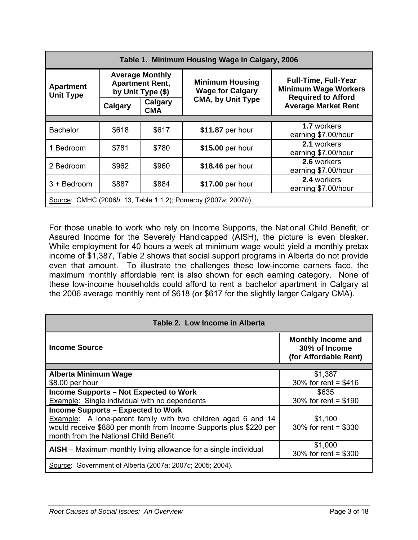| Table 1. Minimum Housing Wage in Calgary, 2006                 |                                                                       |                       |                                                   |                                                            |  |  |
|----------------------------------------------------------------|-----------------------------------------------------------------------|-----------------------|---------------------------------------------------|------------------------------------------------------------|--|--|
| <b>Apartment</b><br><b>Unit Type</b>                           | <b>Average Monthly</b><br><b>Apartment Rent,</b><br>by Unit Type (\$) |                       | <b>Minimum Housing</b><br><b>Wage for Calgary</b> | <b>Full-Time, Full-Year</b><br><b>Minimum Wage Workers</b> |  |  |
|                                                                | Calgary                                                               | Calgary<br><b>CMA</b> | <b>CMA, by Unit Type</b>                          | <b>Required to Afford</b><br><b>Average Market Rent</b>    |  |  |
|                                                                |                                                                       |                       |                                                   |                                                            |  |  |
| <b>Bachelor</b>                                                | \$618                                                                 | \$617                 | \$11.87 per hour                                  | 1.7 workers<br>earning \$7.00/hour                         |  |  |
| 1 Bedroom                                                      | \$781                                                                 | \$780                 | \$15.00 per hour                                  | 2.1 workers<br>earning \$7.00/hour                         |  |  |
| 2 Bedroom                                                      | \$962                                                                 | \$960                 | \$18.46 per hour                                  | 2.6 workers<br>earning \$7.00/hour                         |  |  |
| 3 + Bedroom                                                    | \$887                                                                 | \$884                 | \$17.00 per hour                                  | 2.4 workers<br>earning \$7.00/hour                         |  |  |
| Source: CMHC (2006b: 13, Table 1.1.2); Pomeroy (2007a; 2007b). |                                                                       |                       |                                                   |                                                            |  |  |

For those unable to work who rely on Income Supports, the National Child Benefit, or Assured Income for the Severely Handicapped (AISH), the picture is even bleaker. While employment for 40 hours a week at minimum wage would yield a monthly pretax income of \$1,387, Table 2 shows that social support programs in Alberta do not provide even that amount. To illustrate the challenges these low-income earners face, the maximum monthly affordable rent is also shown for each earning category. None of these low-income households could afford to rent a bachelor apartment in Calgary at the 2006 average monthly rent of \$618 (or \$617 for the slightly larger Calgary CMA).

| Table 2. Low Income in Alberta                                       |                                                                     |  |  |
|----------------------------------------------------------------------|---------------------------------------------------------------------|--|--|
| <b>Income Source</b>                                                 | <b>Monthly Income and</b><br>30% of Income<br>(for Affordable Rent) |  |  |
|                                                                      |                                                                     |  |  |
| <b>Alberta Minimum Wage</b>                                          | \$1,387                                                             |  |  |
| \$8.00 per hour                                                      | 30% for rent = $$416$                                               |  |  |
| <b>Income Supports - Not Expected to Work</b>                        | \$635                                                               |  |  |
| Example: Single individual with no dependents                        | 30% for rent = $$190$                                               |  |  |
| <b>Income Supports - Expected to Work</b>                            |                                                                     |  |  |
| <b>Example:</b> A lone-parent family with two children aged 6 and 14 | \$1,100                                                             |  |  |
| would receive \$880 per month from Income Supports plus \$220 per    | 30% for rent = $$330$                                               |  |  |
| month from the National Child Benefit                                |                                                                     |  |  |
|                                                                      | \$1,000                                                             |  |  |
| AISH - Maximum monthly living allowance for a single individual      | 30% for rent = $$300$                                               |  |  |
| Source: Government of Alberta (2007a; 2007c; 2005; 2004).            |                                                                     |  |  |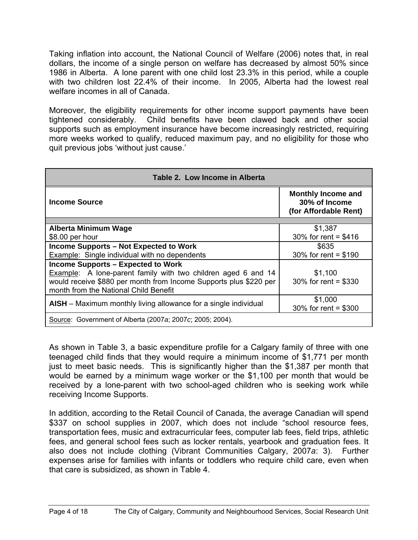Taking inflation into account, the National Council of Welfare (2006) notes that, in real dollars, the income of a single person on welfare has decreased by almost 50% since 1986 in Alberta. A lone parent with one child lost 23.3% in this period, while a couple with two children lost 22.4% of their income. In 2005, Alberta had the lowest real welfare incomes in all of Canada

Moreover, the eligibility requirements for other income support payments have been tightened considerably. Child benefits have been clawed back and other social supports such as employment insurance have become increasingly restricted, requiring more weeks worked to qualify, reduced maximum pay, and no eligibility for those who quit previous jobs 'without just cause.'

| Table 2. Low Income in Alberta                                       |                                                                     |  |  |
|----------------------------------------------------------------------|---------------------------------------------------------------------|--|--|
| Income Source                                                        | <b>Monthly Income and</b><br>30% of Income<br>(for Affordable Rent) |  |  |
|                                                                      |                                                                     |  |  |
| <b>Alberta Minimum Wage</b>                                          | \$1,387                                                             |  |  |
| \$8.00 per hour                                                      | 30% for rent = $$416$                                               |  |  |
| <b>Income Supports - Not Expected to Work</b>                        | \$635                                                               |  |  |
| <b>Example:</b> Single individual with no dependents                 | 30% for rent = $$190$                                               |  |  |
| <b>Income Supports - Expected to Work</b>                            |                                                                     |  |  |
| <b>Example:</b> A lone-parent family with two children aged 6 and 14 | \$1,100                                                             |  |  |
| would receive \$880 per month from Income Supports plus \$220 per    | 30% for rent = \$330                                                |  |  |
| month from the National Child Benefit                                |                                                                     |  |  |
|                                                                      | \$1,000                                                             |  |  |
| AISH - Maximum monthly living allowance for a single individual      | 30% for rent = $$300$                                               |  |  |
| Source: Government of Alberta (2007a; 2007c; 2005; 2004).            |                                                                     |  |  |

As shown in Table 3, a basic expenditure profile for a Calgary family of three with one teenaged child finds that they would require a minimum income of \$1,771 per month just to meet basic needs. This is significantly higher than the \$1,387 per month that would be earned by a minimum wage worker or the \$1,100 per month that would be received by a lone-parent with two school-aged children who is seeking work while receiving Income Supports.

In addition, according to the Retail Council of Canada, the average Canadian will spend \$337 on school supplies in 2007, which does not include "school resource fees, transportation fees, music and extracurricular fees, computer lab fees, field trips, athletic fees, and general school fees such as locker rentals, yearbook and graduation fees. It also does not include clothing (Vibrant Communities Calgary, 2007*a*: 3). Further expenses arise for families with infants or toddlers who require child care, even when that care is subsidized, as shown in Table 4.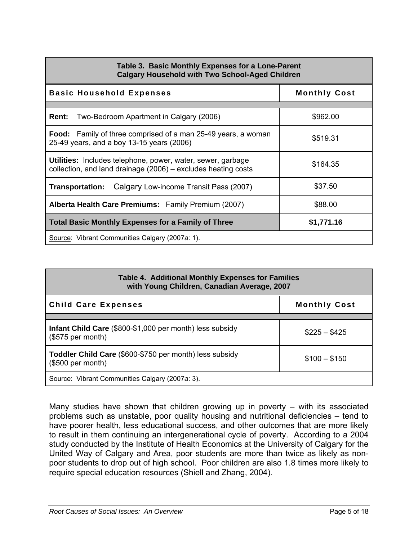| Table 3. Basic Monthly Expenses for a Lone-Parent<br><b>Calgary Household with Two School-Aged Children</b>                  |                     |  |  |  |
|------------------------------------------------------------------------------------------------------------------------------|---------------------|--|--|--|
| <b>Basic Household Expenses</b>                                                                                              | <b>Monthly Cost</b> |  |  |  |
| <b>Rent:</b> Two-Bedroom Apartment in Calgary (2006)                                                                         | \$962.00            |  |  |  |
| <b>Food:</b> Family of three comprised of a man 25-49 years, a woman<br>25-49 years, and a boy 13-15 years (2006)            | \$519.31            |  |  |  |
| Utilities: Includes telephone, power, water, sewer, garbage<br>collection, and land drainage (2006) – excludes heating costs | \$164.35            |  |  |  |
| Calgary Low-income Transit Pass (2007)<br>Transportation:                                                                    | \$37.50             |  |  |  |
| Alberta Health Care Premiums: Family Premium (2007)                                                                          | \$88.00             |  |  |  |
| <b>Total Basic Monthly Expenses for a Family of Three</b><br>\$1,771.16                                                      |                     |  |  |  |
| Source: Vibrant Communities Calgary (2007a: 1).                                                                              |                     |  |  |  |

| <b>Table 4. Additional Monthly Expenses for Families</b><br>with Young Children, Canadian Average, 2007 |                     |  |  |
|---------------------------------------------------------------------------------------------------------|---------------------|--|--|
| <b>Child Care Expenses</b>                                                                              | <b>Monthly Cost</b> |  |  |
|                                                                                                         |                     |  |  |
| Infant Child Care (\$800-\$1,000 per month) less subsidy<br>(\$575 per month)                           | $$225 - $425$       |  |  |
| Toddler Child Care (\$600-\$750 per month) less subsidy<br>(\$500 per month)                            | $$100 - $150$       |  |  |
| Source: Vibrant Communities Calgary (2007a: 3).                                                         |                     |  |  |

Many studies have shown that children growing up in poverty – with its associated problems such as unstable, poor quality housing and nutritional deficiencies – tend to have poorer health, less educational success, and other outcomes that are more likely to result in them continuing an intergenerational cycle of poverty. According to a 2004 study conducted by the Institute of Health Economics at the University of Calgary for the United Way of Calgary and Area, poor students are more than twice as likely as nonpoor students to drop out of high school. Poor children are also 1.8 times more likely to require special education resources (Shiell and Zhang, 2004).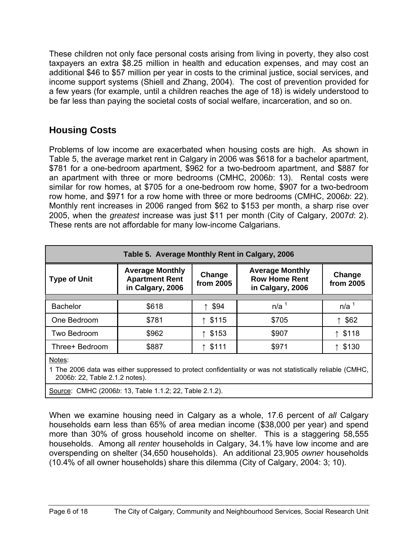These children not only face personal costs arising from living in poverty, they also cost taxpayers an extra \$8.25 million in health and education expenses, and may cost an additional \$46 to \$57 million per year in costs to the criminal justice, social services, and income support systems (Shiell and Zhang, 2004). The cost of prevention provided for a few years (for example, until a children reaches the age of 18) is widely understood to be far less than paying the societal costs of social welfare, incarceration, and so on.

# **Housing Costs**

Problems of low income are exacerbated when housing costs are high. As shown in Table 5, the average market rent in Calgary in 2006 was \$618 for a bachelor apartment, \$781 for a one-bedroom apartment, \$962 for a two-bedroom apartment, and \$887 for an apartment with three or more bedrooms (CMHC, 2006*b*: 13). Rental costs were similar for row homes, at \$705 for a one-bedroom row home, \$907 for a two-bedroom row home, and \$971 for a row home with three or more bedrooms (CMHC, 2006*b*: 22). Monthly rent increases in 2006 ranged from \$62 to \$153 per month, a sharp rise over 2005, when the *greatest* increase was just \$11 per month (City of Calgary, 2007*d*: 2). These rents are not affordable for many low-income Calgarians.

| Table 5. Average Monthly Rent in Calgary, 2006 |                                                                                            |        |                                                                    |                     |  |  |
|------------------------------------------------|--------------------------------------------------------------------------------------------|--------|--------------------------------------------------------------------|---------------------|--|--|
| <b>Type of Unit</b>                            | <b>Average Monthly</b><br>Change<br><b>Apartment Rent</b><br>from 2005<br>in Calgary, 2006 |        | <b>Average Monthly</b><br><b>Row Home Rent</b><br>in Calgary, 2006 | Change<br>from 2005 |  |  |
|                                                |                                                                                            |        |                                                                    |                     |  |  |
| <b>Bachelor</b>                                | \$618                                                                                      | ↑ \$94 | n/a <sup>1</sup>                                                   | n/a <sup>1</sup>    |  |  |
| One Bedroom                                    | \$781                                                                                      | \$115  | \$705                                                              | \$62                |  |  |
| Two Bedroom                                    | \$962                                                                                      | \$153  | \$907                                                              | \$118               |  |  |
| Three+ Bedroom                                 | \$887                                                                                      | \$111  | \$971                                                              | \$130               |  |  |
|                                                |                                                                                            |        |                                                                    |                     |  |  |

Notes:

1 The 2006 data was either suppressed to protect confidentiality or was not statistically reliable (CMHC, 2006*b*: 22, Table 2.1.2 notes).

Source: CMHC (2006*b*: 13, Table 1.1.2; 22, Table 2.1.2).

When we examine housing need in Calgary as a whole, 17.6 percent of *all* Calgary households earn less than 65% of area median income (\$38,000 per year) and spend more than 30% of gross household income on shelter. This is a staggering 58,555 households. Among all *renter* households in Calgary, 34.1% have low income and are overspending on shelter (34,650 households). An additional 23,905 *owner* households (10.4% of all owner households) share this dilemma (City of Calgary, 2004: 3; 10).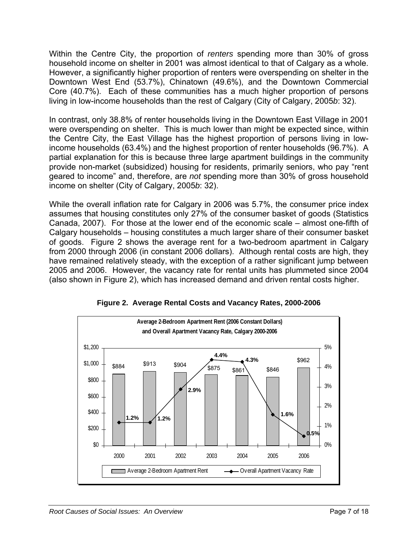Within the Centre City, the proportion of *renters* spending more than 30% of gross household income on shelter in 2001 was almost identical to that of Calgary as a whole. However, a significantly higher proportion of renters were overspending on shelter in the Downtown West End (53.7%), Chinatown (49.6%), and the Downtown Commercial Core (40.7%). Each of these communities has a much higher proportion of persons living in low-income households than the rest of Calgary (City of Calgary, 2005*b*: 32).

In contrast, only 38.8% of renter households living in the Downtown East Village in 2001 were overspending on shelter. This is much lower than might be expected since, within the Centre City, the East Village has the highest proportion of persons living in lowincome households (63.4%) and the highest proportion of renter households (96.7%). A partial explanation for this is because three large apartment buildings in the community provide non-market (subsidized) housing for residents, primarily seniors, who pay "rent geared to income" and, therefore, are *not* spending more than 30% of gross household income on shelter (City of Calgary, 2005*b*: 32).

While the overall inflation rate for Calgary in 2006 was 5.7%, the consumer price index assumes that housing constitutes only 27% of the consumer basket of goods (Statistics Canada, 2007). For those at the lower end of the economic scale – almost one-fifth of Calgary households – housing constitutes a much larger share of their consumer basket of goods. Figure 2 shows the average rent for a two-bedroom apartment in Calgary from 2000 through 2006 (in constant 2006 dollars). Although rental costs are high, they have remained relatively steady, with the exception of a rather significant jump between 2005 and 2006. However, the vacancy rate for rental units has plummeted since 2004 (also shown in Figure 2), which has increased demand and driven rental costs higher.



**Figure 2. Average Rental Costs and Vacancy Rates, 2000-2006**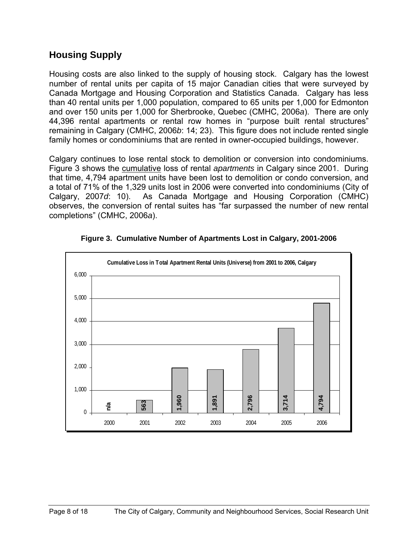### **Housing Supply**

Housing costs are also linked to the supply of housing stock. Calgary has the lowest number of rental units per capita of 15 major Canadian cities that were surveyed by Canada Mortgage and Housing Corporation and Statistics Canada. Calgary has less than 40 rental units per 1,000 population, compared to 65 units per 1,000 for Edmonton and over 150 units per 1,000 for Sherbrooke, Quebec (CMHC, 2006*a*). There are only 44,396 rental apartments or rental row homes in "purpose built rental structures" remaining in Calgary (CMHC, 2006*b*: 14; 23). This figure does not include rented single family homes or condominiums that are rented in owner-occupied buildings, however.

Calgary continues to lose rental stock to demolition or conversion into condominiums. Figure 3 shows the cumulative loss of rental *apartments* in Calgary since 2001. During that time, 4,794 apartment units have been lost to demolition or condo conversion, and a total of 71% of the 1,329 units lost in 2006 were converted into condominiums (City of Calgary, 2007*d*: 10). As Canada Mortgage and Housing Corporation (CMHC) observes, the conversion of rental suites has "far surpassed the number of new rental completions" (CMHC, 2006*a*).



**Figure 3. Cumulative Number of Apartments Lost in Calgary, 2001-2006**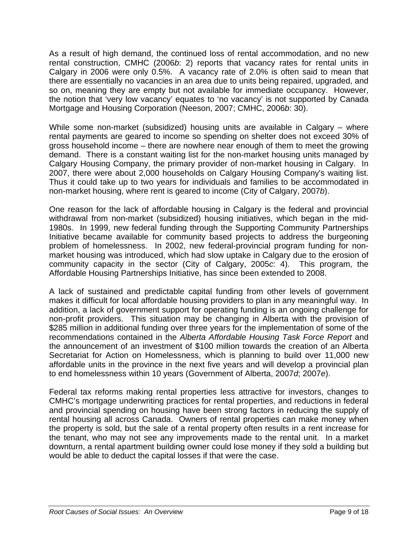As a result of high demand, the continued loss of rental accommodation, and no new rental construction, CMHC (2006*b*: 2) reports that vacancy rates for rental units in Calgary in 2006 were only 0.5%. A vacancy rate of 2.0% is often said to mean that there are essentially no vacancies in an area due to units being repaired, upgraded, and so on, meaning they are empty but not available for immediate occupancy. However, the notion that 'very low vacancy' equates to 'no vacancy' is not supported by Canada Mortgage and Housing Corporation (Neeson, 2007; CMHC, 2006*b*: 30).

While some non-market (subsidized) housing units are available in Calgary – where rental payments are geared to income so spending on shelter does not exceed 30% of gross household income – there are nowhere near enough of them to meet the growing demand. There is a constant waiting list for the non-market housing units managed by Calgary Housing Company, the primary provider of non-market housing in Calgary. In 2007, there were about 2,000 households on Calgary Housing Company's waiting list. Thus it could take up to two years for individuals and families to be accommodated in non-market housing, where rent is geared to income (City of Calgary, 2007*b*).

One reason for the lack of affordable housing in Calgary is the federal and provincial withdrawal from non-market (subsidized) housing initiatives, which began in the mid-1980s. In 1999, new federal funding through the Supporting Community Partnerships Initiative became available for community based projects to address the burgeoning problem of homelessness. In 2002, new federal-provincial program funding for nonmarket housing was introduced, which had slow uptake in Calgary due to the erosion of community capacity in the sector (City of Calgary, 2005*c*: 4). This program, the Affordable Housing Partnerships Initiative, has since been extended to 2008.

A lack of sustained and predictable capital funding from other levels of government makes it difficult for local affordable housing providers to plan in any meaningful way. In addition, a lack of government support for operating funding is an ongoing challenge for non-profit providers. This situation may be changing in Alberta with the provision of \$285 million in additional funding over three years for the implementation of some of the recommendations contained in the *Alberta Affordable Housing Task Force Report* and the announcement of an investment of \$100 million towards the creation of an Alberta Secretariat for Action on Homelessness, which is planning to build over 11,000 new affordable units in the province in the next five years and will develop a provincial plan to end homelessness within 10 years (Government of Alberta, 2007*d*; 2007*e*).

Federal tax reforms making rental properties less attractive for investors, changes to CMHC's mortgage underwriting practices for rental properties, and reductions in federal and provincial spending on housing have been strong factors in reducing the supply of rental housing all across Canada. Owners of rental properties can make money when the property is sold, but the sale of a rental property often results in a rent increase for the tenant, who may not see any improvements made to the rental unit. In a market downturn, a rental apartment building owner could lose money if they sold a building but would be able to deduct the capital losses if that were the case.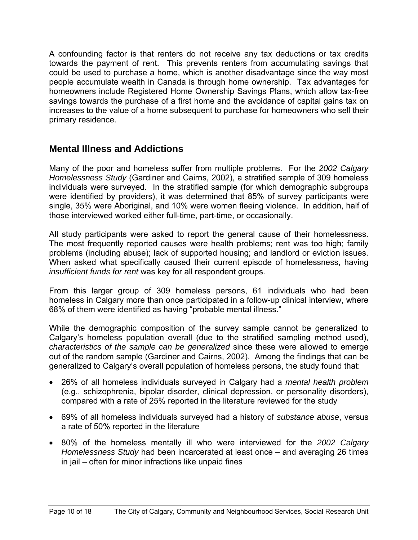A confounding factor is that renters do not receive any tax deductions or tax credits towards the payment of rent. This prevents renters from accumulating savings that could be used to purchase a home, which is another disadvantage since the way most people accumulate wealth in Canada is through home ownership. Tax advantages for homeowners include Registered Home Ownership Savings Plans, which allow tax-free savings towards the purchase of a first home and the avoidance of capital gains tax on increases to the value of a home subsequent to purchase for homeowners who sell their primary residence.

## **Mental Illness and Addictions**

Many of the poor and homeless suffer from multiple problems. For the *2002 Calgary Homelessness Study* (Gardiner and Cairns, 2002), a stratified sample of 309 homeless individuals were surveyed. In the stratified sample (for which demographic subgroups were identified by providers), it was determined that 85% of survey participants were single, 35% were Aboriginal, and 10% were women fleeing violence. In addition, half of those interviewed worked either full-time, part-time, or occasionally.

All study participants were asked to report the general cause of their homelessness. The most frequently reported causes were health problems; rent was too high; family problems (including abuse); lack of supported housing; and landlord or eviction issues. When asked what specifically caused their current episode of homelessness, having *insufficient funds for rent* was key for all respondent groups.

From this larger group of 309 homeless persons, 61 individuals who had been homeless in Calgary more than once participated in a follow-up clinical interview, where 68% of them were identified as having "probable mental illness."

While the demographic composition of the survey sample cannot be generalized to Calgary's homeless population overall (due to the stratified sampling method used), *characteristics of the sample can be generalized* since these were allowed to emerge out of the random sample (Gardiner and Cairns, 2002). Among the findings that can be generalized to Calgary's overall population of homeless persons, the study found that:

- 26% of all homeless individuals surveyed in Calgary had a *mental health problem* (e.g., schizophrenia, bipolar disorder, clinical depression, or personality disorders), compared with a rate of 25% reported in the literature reviewed for the study
- 69% of all homeless individuals surveyed had a history of *substance abuse*, versus a rate of 50% reported in the literature
- 80% of the homeless mentally ill who were interviewed for the *2002 Calgary Homelessness Study* had been incarcerated at least once – and averaging 26 times in jail – often for minor infractions like unpaid fines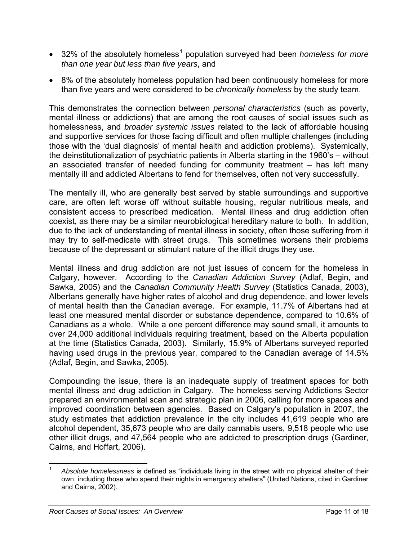- 32% of the absolutely homeless<sup>[1](#page-10-0)</sup> population surveyed had been *homeless for more than one year but less than five years*, and
- 8% of the absolutely homeless population had been continuously homeless for more than five years and were considered to be *chronically homeless* by the study team.

This demonstrates the connection between *personal characteristics* (such as poverty, mental illness or addictions) that are among the root causes of social issues such as homelessness, and *broader systemic issues* related to the lack of affordable housing and supportive services for those facing difficult and often multiple challenges (including those with the 'dual diagnosis' of mental health and addiction problems). Systemically, the deinstitutionalization of psychiatric patients in Alberta starting in the 1960's – without an associated transfer of needed funding for community treatment – has left many mentally ill and addicted Albertans to fend for themselves, often not very successfully.

The mentally ill, who are generally best served by stable surroundings and supportive care, are often left worse off without suitable housing, regular nutritious meals, and consistent access to prescribed medication. Mental illness and drug addiction often coexist, as there may be a similar neurobiological hereditary nature to both. In addition, due to the lack of understanding of mental illness in society, often those suffering from it may try to self-medicate with street drugs. This sometimes worsens their problems because of the depressant or stimulant nature of the illicit drugs they use.

Mental illness and drug addiction are not just issues of concern for the homeless in Calgary, however. According to the *Canadian Addiction Survey* (Adlaf, Begin, and Sawka, 2005) and the *Canadian Community Health Survey* (Statistics Canada, 2003), Albertans generally have higher rates of alcohol and drug dependence, and lower levels of mental health than the Canadian average. For example, 11.7% of Albertans had at least one measured mental disorder or substance dependence, compared to 10.6% of Canadians as a whole. While a one percent difference may sound small, it amounts to over 24,000 additional individuals requiring treatment, based on the Alberta population at the time (Statistics Canada, 2003). Similarly, 15.9% of Albertans surveyed reported having used drugs in the previous year, compared to the Canadian average of 14.5% (Adlaf, Begin, and Sawka, 2005).

Compounding the issue, there is an inadequate supply of treatment spaces for both mental illness and drug addiction in Calgary. The homeless serving Addictions Sector prepared an environmental scan and strategic plan in 2006, calling for more spaces and improved coordination between agencies. Based on Calgary's population in 2007, the study estimates that addiction prevalence in the city includes 41,619 people who are alcohol dependent, 35,673 people who are daily cannabis users, 9,518 people who use other illicit drugs, and 47,564 people who are addicted to prescription drugs (Gardiner, Cairns, and Hoffart, 2006).

<span id="page-10-0"></span> $\overline{a}$ <sup>1</sup> *Absolute homelessness* is defined as "individuals living in the street with no physical shelter of their own, including those who spend their nights in emergency shelters" (United Nations, cited in Gardiner and Cairns, 2002).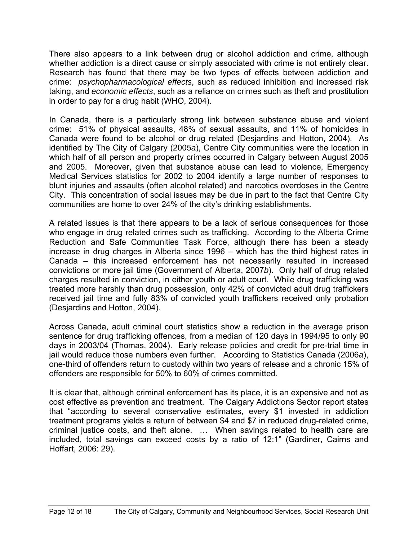There also appears to a link between drug or alcohol addiction and crime, although whether addiction is a direct cause or simply associated with crime is not entirely clear. Research has found that there may be two types of effects between addiction and crime: *psychopharmacological effects*, such as reduced inhibition and increased risk taking, and *economic effects*, such as a reliance on crimes such as theft and prostitution in order to pay for a drug habit (WHO, 2004).

In Canada, there is a particularly strong link between substance abuse and violent crime: 51% of physical assaults, 48% of sexual assaults, and 11% of homicides in Canada were found to be alcohol or drug related (Desjardins and Hotton, 2004). As identified by The City of Calgary (2005*a*), Centre City communities were the location in which half of all person and property crimes occurred in Calgary between August 2005 and 2005. Moreover, given that substance abuse can lead to violence, Emergency Medical Services statistics for 2002 to 2004 identify a large number of responses to blunt injuries and assaults (often alcohol related) and narcotics overdoses in the Centre City. This concentration of social issues may be due in part to the fact that Centre City communities are home to over 24% of the city's drinking establishments.

A related issues is that there appears to be a lack of serious consequences for those who engage in drug related crimes such as trafficking. According to the Alberta Crime Reduction and Safe Communities Task Force, although there has been a steady increase in drug charges in Alberta since 1996 – which has the third highest rates in Canada – this increased enforcement has not necessarily resulted in increased convictions or more jail time (Government of Alberta, 2007*b*). Only half of drug related charges resulted in conviction, in either youth or adult court. While drug trafficking was treated more harshly than drug possession, only 42% of convicted adult drug traffickers received jail time and fully 83% of convicted youth traffickers received only probation (Desjardins and Hotton, 2004).

Across Canada, adult criminal court statistics show a reduction in the average prison sentence for drug trafficking offences, from a median of 120 days in 1994/95 to only 90 days in 2003/04 (Thomas, 2004). Early release policies and credit for pre-trial time in jail would reduce those numbers even further. According to Statistics Canada (2006*a*), one-third of offenders return to custody within two years of release and a chronic 15% of offenders are responsible for 50% to 60% of crimes committed.

It is clear that, although criminal enforcement has its place, it is an expensive and not as cost effective as prevention and treatment. The Calgary Addictions Sector report states that "according to several conservative estimates, every \$1 invested in addiction treatment programs yields a return of between \$4 and \$7 in reduced drug-related crime, criminal justice costs, and theft alone. … When savings related to health care are included, total savings can exceed costs by a ratio of 12:1" (Gardiner, Cairns and Hoffart, 2006: 29).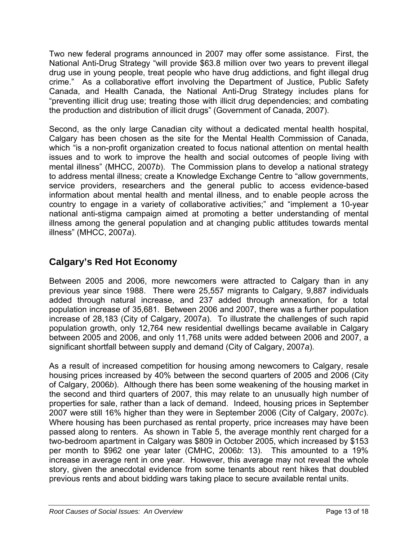Two new federal programs announced in 2007 may offer some assistance. First, the National Anti-Drug Strategy "will provide \$63.8 million over two years to prevent illegal drug use in young people, treat people who have drug addictions, and fight illegal drug crime." As a collaborative effort involving the Department of Justice, Public Safety Canada, and Health Canada, the National Anti-Drug Strategy includes plans for "preventing illicit drug use; treating those with illicit drug dependencies; and combating the production and distribution of illicit drugs" (Government of Canada, 2007).

Second, as the only large Canadian city without a dedicated mental health hospital, Calgary has been chosen as the site for the Mental Health Commission of Canada, which "is a non-profit organization created to focus national attention on mental health issues and to work to improve the health and social outcomes of people living with mental illness" (MHCC, 2007*b*). The Commission plans to develop a national strategy to address mental illness; create a Knowledge Exchange Centre to "allow governments, service providers, researchers and the general public to access evidence-based information about mental health and mental illness, and to enable people across the country to engage in a variety of collaborative activities;" and "implement a 10-year national anti-stigma campaign aimed at promoting a better understanding of mental illness among the general population and at changing public attitudes towards mental illness" (MHCC, 2007*a*).

# **Calgary's Red Hot Economy**

Between 2005 and 2006, more newcomers were attracted to Calgary than in any previous year since 1988. There were 25,557 migrants to Calgary, 9,887 individuals added through natural increase, and 237 added through annexation, for a total population increase of 35,681. Between 2006 and 2007, there was a further population increase of 28,183 (City of Calgary, 2007*a*). To illustrate the challenges of such rapid population growth, only 12,764 new residential dwellings became available in Calgary between 2005 and 2006, and only 11,768 units were added between 2006 and 2007, a significant shortfall between supply and demand (City of Calgary, 2007*a*).

As a result of increased competition for housing among newcomers to Calgary, resale housing prices increased by 40% between the second quarters of 2005 and 2006 (City of Calgary, 2006*b*). Although there has been some weakening of the housing market in the second and third quarters of 2007, this may relate to an unusually high number of properties for sale, rather than a lack of demand. Indeed, housing prices in September 2007 were still 16% higher than they were in September 2006 (City of Calgary, 2007*c*). Where housing has been purchased as rental property, price increases may have been passed along to renters. As shown in Table 5, the average monthly rent charged for a two-bedroom apartment in Calgary was \$809 in October 2005, which increased by \$153 per month to \$962 one year later (CMHC, 2006*b*: 13). This amounted to a 19% increase in average rent in one year. However, this average may not reveal the whole story, given the anecdotal evidence from some tenants about rent hikes that doubled previous rents and about bidding wars taking place to secure available rental units.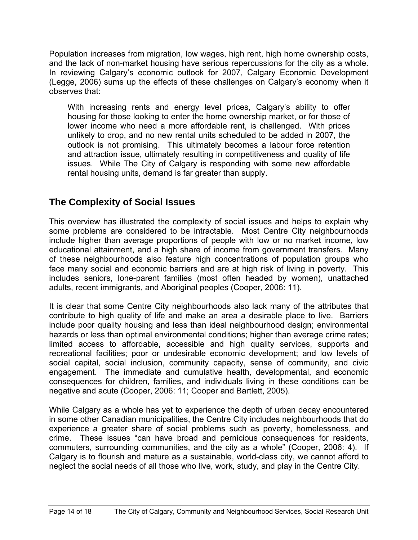Population increases from migration, low wages, high rent, high home ownership costs, and the lack of non-market housing have serious repercussions for the city as a whole. In reviewing Calgary's economic outlook for 2007, Calgary Economic Development (Legge, 2006) sums up the effects of these challenges on Calgary's economy when it observes that:

With increasing rents and energy level prices, Calgary's ability to offer housing for those looking to enter the home ownership market, or for those of lower income who need a more affordable rent, is challenged. With prices unlikely to drop, and no new rental units scheduled to be added in 2007, the outlook is not promising. This ultimately becomes a labour force retention and attraction issue, ultimately resulting in competitiveness and quality of life issues. While The City of Calgary is responding with some new affordable rental housing units, demand is far greater than supply.

## **The Complexity of Social Issues**

This overview has illustrated the complexity of social issues and helps to explain why some problems are considered to be intractable. Most Centre City neighbourhoods include higher than average proportions of people with low or no market income, low educational attainment, and a high share of income from government transfers. Many of these neighbourhoods also feature high concentrations of population groups who face many social and economic barriers and are at high risk of living in poverty. This includes seniors, lone-parent families (most often headed by women), unattached adults, recent immigrants, and Aboriginal peoples (Cooper, 2006: 11).

It is clear that some Centre City neighbourhoods also lack many of the attributes that contribute to high quality of life and make an area a desirable place to live. Barriers include poor quality housing and less than ideal neighbourhood design; environmental hazards or less than optimal environmental conditions; higher than average crime rates; limited access to affordable, accessible and high quality services, supports and recreational facilities; poor or undesirable economic development; and low levels of social capital, social inclusion, community capacity, sense of community, and civic engagement. The immediate and cumulative health, developmental, and economic consequences for children, families, and individuals living in these conditions can be negative and acute (Cooper, 2006: 11; Cooper and Bartlett, 2005).

While Calgary as a whole has yet to experience the depth of urban decay encountered in some other Canadian municipalities, the Centre City includes neighbourhoods that do experience a greater share of social problems such as poverty, homelessness, and crime. These issues "can have broad and pernicious consequences for residents, commuters, surrounding communities, and the city as a whole" (Cooper, 2006: 4). If Calgary is to flourish and mature as a sustainable, world-class city, we cannot afford to neglect the social needs of all those who live, work, study, and play in the Centre City.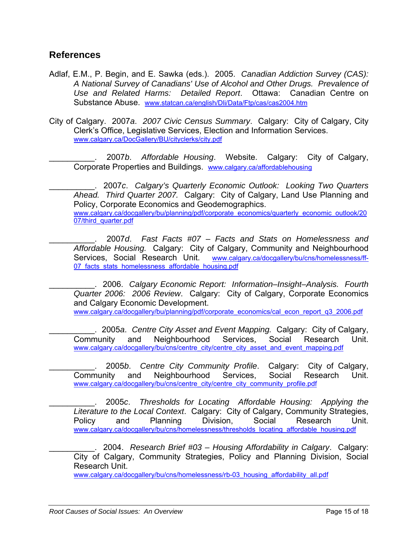#### **References**

- Adlaf, E.M., P. Begin, and E. Sawka (eds.). 2005. *Canadian Addiction Survey (CAS): A National Survey of Canadians' Use of Alcohol and Other Drugs. Prevalence of Use and Related Harms: Detailed Report*. Ottawa: Canadian Centre on Substance Abuse. [www.statcan.ca/english/Dli/Data/Ftp/cas/cas2004.htm](http://www.statcan.ca/english/Dli/Data/Ftp/cas/cas2004.htm)
- City of Calgary. 2007*a*. *2007 Civic Census Summary*. Calgary: City of Calgary, City Clerk's Office, Legislative Services, Election and Information Services. [www.calgary.ca/DocGallery/BU/cityclerks/city.pdf](http://www.calgary.ca/DocGallery/BU/cityclerks/city.pdf)

\_\_\_\_\_\_\_\_\_\_. 2007*b*. *Affordable Housing*. Website. Calgary: City of Calgary, Corporate Properties and Buildings. [www.calgary.ca/affordablehousing](http://www.calgary.ca/affordablehousing)

\_\_\_\_\_\_\_\_\_\_. 2007*c*. *Calgary's Quarterly Economic Outlook: Looking Two Quarters Ahead. Third Quarter 2007.* Calgary: City of Calgary, Land Use Planning and Policy, Corporate Economics and Geodemographics. [www.calgary.ca/docgallery/bu/planning/pdf/corporate\\_economics/quarterly\\_economic\\_outlook/20](http://www.calgary.ca/docgallery/bu/planning/pdf/corporate_economics/quarterly_economic_outlook/2007/third_quarter.pdf) [07/third\\_quarter.pdf](http://www.calgary.ca/docgallery/bu/planning/pdf/corporate_economics/quarterly_economic_outlook/2007/third_quarter.pdf)

\_\_\_\_\_\_\_\_\_\_. 2007*d*. *Fast Facts #07 – Facts and Stats on Homelessness and Affordable Housing.* Calgary: City of Calgary, Community and Neighbourhood Services, Social Research Unit. [www.calgary.ca/docgallery/bu/cns/homelessness/ff-](http://www.calgary.ca/docgallery/bu/cns/homelessness/ff-07_facts_stats_homelessness_affordable_housing.pdf)07 facts stats homelessness affordable housing.pdf

\_\_\_\_\_\_\_\_\_\_. 2006. *Calgary Economic Report: Information–Insight–Analysis. Fourth Quarter 2006: 2006 Review*. Calgary: City of Calgary, Corporate Economics and Calgary Economic Development. [www.calgary.ca/docgallery/bu/planning/pdf/corporate\\_economics/cal\\_econ\\_report\\_q3\\_2006.pdf](http://www.calgary.ca/docgallery/bu/planning/pdf/corporate_economics/cal_econ_report_q3_2006.pdf)

\_\_\_\_\_\_\_\_\_\_. 2005*a*. *Centre City Asset and Event Mapping.* Calgary: City of Calgary,

Community and Neighbourhood Services, Social Research Unit. [www.calgary.ca/docgallery/bu/cns/centre\\_city/centre\\_city\\_asset\\_and\\_event\\_mapping.pdf](http://www.calgary.ca/docgallery/bu/cns/centre_city/centre_city_asset_and_event_mapping.pdf)

\_\_\_\_\_\_\_\_\_\_. 2005*b*. *Centre City Community Profile*. Calgary: City of Calgary, Community and Neighbourhood Services, Social Research Unit. [www.calgary.ca/docgallery/bu/cns/centre\\_city/centre\\_city\\_community\\_profile.pdf](http://www.calgary.ca/docgallery/bu/cns/centre_city/centre_city_community_profile.pdf)

\_\_\_\_\_\_\_\_\_\_. 2005*c*. *Thresholds for Locating Affordable Housing: Applying the Literature to the Local Context*. Calgary: City of Calgary, Community Strategies, Policy and Planning Division, Social Research Unit. [www.calgary.ca/docgallery/bu/cns/homelessness/thresholds\\_locating\\_affordable\\_housing.pdf](http://www.calgary.ca/docgallery/bu/cns/homelessness/thresholds_locating_affordable_housing.pdf)

\_\_\_\_\_\_\_\_\_\_. 2004. *Research Brief #03 – Housing Affordability in Calgary*. Calgary: City of Calgary, Community Strategies, Policy and Planning Division, Social Research Unit.

[www.calgary.ca/docgallery/bu/cns/homelessness/rb-03\\_housing\\_affordability\\_all.pdf](http://www.calgary.ca/docgallery/bu/cns/homelessness/rb-03_housing_affordability_all.pdf)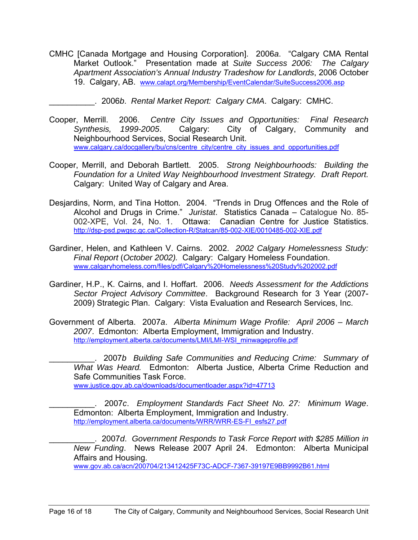- CMHC [Canada Mortgage and Housing Corporation]. 2006*a*. "Calgary CMA Rental Market Outlook." Presentation made at *Suite Success 2006: The Calgary Apartment Association's Annual Industry Tradeshow for Landlords*, 2006 October 19. Calgary, AB. [www.calapt.org/Membership/EventCalendar/SuiteSuccess2006.asp](http://www.calapt.org/Membership/EventCalendar/SuiteSuccess2006.asp)
	- \_\_\_\_\_\_\_\_\_\_. 2006*b*. *Rental Market Report: Calgary CMA*. Calgary: CMHC.
- Cooper, Merrill. 2006. *Centre City Issues and Opportunities: Final Research Synthesis, 1999-2005*. Calgary: City of Calgary, Community and Neighbourhood Services, Social Research Unit. [www.calgary.ca/docgallery/bu/cns/centre\\_city/centre\\_city\\_issues\\_and\\_opportunities.pdf](http://www.calgary.ca/docgallery/bu/cns/centre_city/centre_city_issues_and_opportunities.pdf)
- Cooper, Merrill, and Deborah Bartlett. 2005. *Strong Neighbourhoods: Building the Foundation for a United Way Neighbourhood Investment Strategy. Draft Report.* Calgary: United Way of Calgary and Area.
- Desjardins, Norm, and Tina Hotton. 2004. "Trends in Drug Offences and the Role of Alcohol and Drugs in Crime." *Juristat*. Statistics Canada – Catalogue No. 85- 002-XPE, Vol. 24, No. 1. Ottawa: Canadian Centre for Justice Statistics. <http://dsp-psd.pwgsc.gc.ca/Collection-R/Statcan/85-002-XIE/0010485-002-XIE.pdf>
- Gardiner, Helen, and Kathleen V. Cairns. 2002. *2002 Calgary Homelessness Study: Final Report* (*October 2002).* Calgary: Calgary Homeless Foundation. [www.calgaryhomeless.com/files/pdf/Calgary%20Homelessness%20Study%202002.pdf](http://www.calgaryhomeless.com/files/pdf/Calgary Homelessness Study 2002.pdf)
- Gardiner, H.P., K. Cairns, and I. Hoffart. 2006. *Needs Assessment for the Addictions Sector Project Advisory Committee*. Background Research for 3 Year (2007- 2009) Strategic Plan. Calgary: Vista Evaluation and Research Services, Inc.
- Government of Alberta. 2007*a*. *Alberta Minimum Wage Profile: April 2006 March 2007*. Edmonton: Alberta Employment, Immigration and Industry. [http://employment.alberta.ca/documents/LMI/LMI-WSI\\_minwageprofile.pdf](http://employment.alberta.ca/documents/LMI/LMI-WSI_minwageprofile.pdf)

\_\_\_\_\_\_\_\_\_\_. 2007*b Building Safe Communities and Reducing Crime: Summary of What Was Heard.* Edmonton: Alberta Justice, Alberta Crime Reduction and Safe Communities Task Force.

[www.justice.gov.ab.ca/downloads/documentloader.aspx?id=47713](http://www.justice.gov.ab.ca/downloads/documentloader.aspx?id=47713)

\_\_\_\_\_\_\_\_\_\_. 2007*c*. *Employment Standards Fact Sheet No. 27: Minimum Wage*. Edmonton: Alberta Employment, Immigration and Industry. [http://employment.alberta.ca/documents/WRR/WRR-ES-FI\\_esfs27.pdf](http://employment.alberta.ca/documents/WRR/WRR-ES-FI_esfs27.pdf)

\_\_\_\_\_\_\_\_\_\_. 2007*d*. *Government Responds to Task Force Report with \$285 Million in New Funding*. News Release 2007 April 24. Edmonton: Alberta Municipal Affairs and Housing.

[www.gov.ab.ca/acn/200704/213412425F73C-ADCF-7367-39197E9BB9992B61.html](http://www.gov.ab.ca/acn/200704/213412425F73C-ADCF-7367-39197E9BB9992B61.html)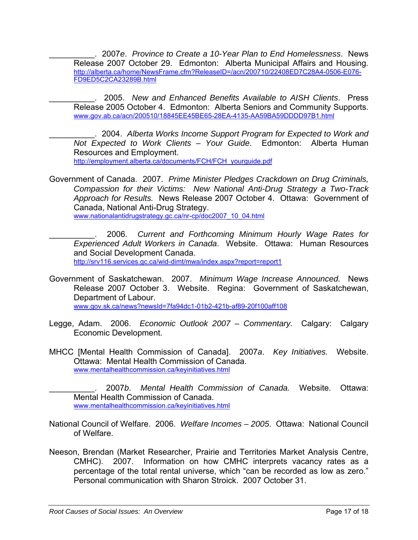\_\_\_\_\_\_\_\_\_\_. 2007*e*. *Province to Create a 10-Year Plan to End Homelessness*. News Release 2007 October 29. Edmonton: Alberta Municipal Affairs and Housing. [http://alberta.ca/home/NewsFrame.cfm?ReleaseID=/acn/200710/22408ED7C28A4-0506-E076-](http://alberta.ca/home/NewsFrame.cfm?ReleaseID=/acn/200710/22408ED7C28A4-0506-E076-FD9ED5C2CA23289B.html) [FD9ED5C2CA23289B.html](http://alberta.ca/home/NewsFrame.cfm?ReleaseID=/acn/200710/22408ED7C28A4-0506-E076-FD9ED5C2CA23289B.html)

\_\_\_\_\_\_\_\_\_\_. 2005. *New and Enhanced Benefits Available to AISH Clients*. Press Release 2005 October 4. Edmonton: Alberta Seniors and Community Supports. [www.gov.ab.ca/acn/200510/18845EE45BE65-28EA-4135-AA59BA59DDDD97B1.html](http://www.gov.ab.ca/acn/200510/18845EE45BE65-28EA-4135-AA59BA59DDDD97B1.html)

\_\_\_\_\_\_\_\_\_\_. 2004. *Alberta Works Income Support Program for Expected to Work and Not Expected to Work Clients – Your Guide*. Edmonton: Alberta Human Resources and Employment.

[http://employment.alberta.ca/documents/FCH/FCH\\_yourguide.pdf](http://employment.alberta.ca/documents/FCH/FCH_yourguide.pdf)

Government of Canada. 2007. *Prime Minister Pledges Crackdown on Drug Criminals, Compassion for their Victims: New National Anti-Drug Strategy a Two-Track Approach for Results.* News Release 2007 October 4. Ottawa: Government of Canada, National Anti-Drug Strategy. [www.nationalantidrugstrategy.gc.ca/nr-cp/doc2007\\_10\\_04.html](http://www.nationalantidrugstrategy.gc.ca/nr-cp/doc2007_10_04.html)

\_\_\_\_\_\_\_\_\_\_. 2006. *Current and Forthcoming Minimum Hourly Wage Rates for Experienced Adult Workers in Canada*. Website. Ottawa: Human Resources and Social Development Canada. <http://srv116.services.gc.ca/wid-dimt/mwa/index.aspx?report=report1>

Government of Saskatchewan. 2007. *Minimum Wage Increase Announced.* News Release 2007 October 3. Website. Regina: Government of Saskatchewan, Department of Labour.

[www.gov.sk.ca/news?newsId=7fa94dc1-01b2-421b-af89-20f100aff108](http://www.gov.sk.ca/news?newsId=7fa94dc1-01b2-421b-af89-20f100aff108)

- Legge, Adam. 2006. *Economic Outlook 2007 Commentary.* Calgary: Calgary Economic Development.
- MHCC [Mental Health Commission of Canada]. 2007*a*. *Key Initiatives.* Website. Ottawa: Mental Health Commission of Canada. [www.mentalhealthcommission.ca/keyinitiatives.html](http://www.mentalhealthcommission.ca/keyinitiatives.html)

\_\_\_\_\_\_\_\_\_\_. 2007*b*. *Mental Health Commission of Canada.* Website. Ottawa: Mental Health Commission of Canada. [www.mentalhealthcommission.ca/keyinitiatives.html](http://www.mentalhealthcommission.ca/keyinitiatives.html)

- National Council of Welfare. 2006. *Welfare Incomes 2005*. Ottawa: National Council of Welfare.
- Neeson, Brendan (Market Researcher, Prairie and Territories Market Analysis Centre, CMHC). 2007. Information on how CMHC interprets vacancy rates as a percentage of the total rental universe, which "can be recorded as low as zero." Personal communication with Sharon Stroick. 2007 October 31.